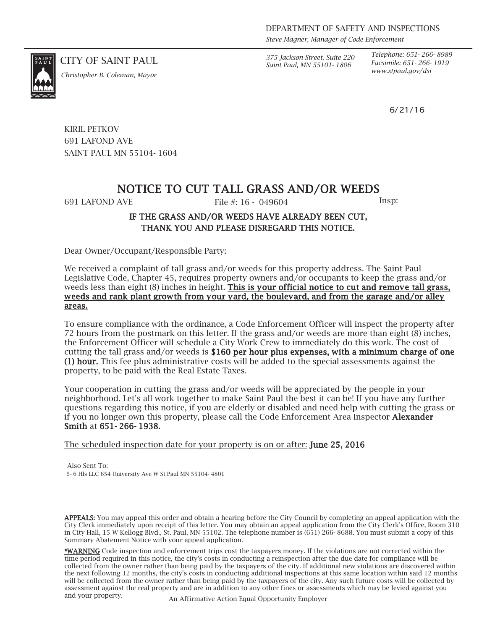*Steve Magner, Manager of Code Enforcement*

*Saint Paul, MN 55101- 1806*

*Telephone: 651- 266- 8989 Facsimile: 651- 266- 1919*

6/21/16

CITY OF SAINT PAUL *375 Jackson Street, Suite 220*



*www.stpaul.gov/dsi Christopher B. Coleman, Mayor*

KIRIL PETKOV 691 LAFOND AVE SAINT PAUL MN 55104- 1604

# NOTICE TO CUT TALL GRASS AND/OR WEEDS

691 LAFOND AVE File #: 16 - 049604 Insp:

### IF THE GRASS AND/OR WEEDS HAVE ALREADY BEEN CUT, THANK YOU AND PLEASE DISREGARD THIS NOTICE.

Dear Owner/Occupant/Responsible Party:

We received a complaint of tall grass and/or weeds for this property address. The Saint Paul Legislative Code, Chapter 45, requires property owners and/or occupants to keep the grass and/or weeds less than eight (8) inches in height. This is your official notice to cut and remove tall grass, weeds and rank plant growth from your yard, the boulevard, and from the garage and/or alley areas.

To ensure compliance with the ordinance, a Code Enforcement Officer will inspect the property after 72 hours from the postmark on this letter. If the grass and/or weeds are more than eight (8) inches, the Enforcement Officer will schedule a City Work Crew to immediately do this work. The cost of cutting the tall grass and/or weeds is \$160 per hour plus expenses, with a minimum charge of one (1) hour. This fee plus administrative costs will be added to the special assessments against the property, to be paid with the Real Estate Taxes.

Your cooperation in cutting the grass and/or weeds will be appreciated by the people in your neighborhood. Let's all work together to make Saint Paul the best it can be! If you have any further questions regarding this notice, if you are elderly or disabled and need help with cutting the grass or if you no longer own this property, please call the Code Enforcement Area Inspector Alexander Smith at 651- 266- 1938.

The scheduled inspection date for your property is on or after: **June 25, 2016** 

Also Sent To: 5- 6 Hls LLC 654 University Ave W St Paul MN 55104- 4801

APPEALS: You may appeal this order and obtain a hearing before the City Council by completing an appeal application with the City Clerk immediately upon receipt of this letter. You may obtain an appeal application from the City Clerk's Office, Room 310 in City Hall, 15 W Kellogg Blvd., St. Paul, MN 55102. The telephone number is (651) 266- 8688. You must submit a copy of this Summary Abatement Notice with your appeal application.

\*WARNING Code inspection and enforcement trips cost the taxpayers money. If the violations are not corrected within the time period required in this notice, the city's costs in conducting a reinspection after the due date for compliance will be collected from the owner rather than being paid by the taxpayers of the city. If additional new violations are discovered within the next following 12 months, the city's costs in conducting additional inspections at this same location within said 12 months will be collected from the owner rather than being paid by the taxpayers of the city. Any such future costs will be collected by assessment against the real property and are in addition to any other fines or assessments which may be levied against you and your property. An Affirmative Action Equal Opportunity Employer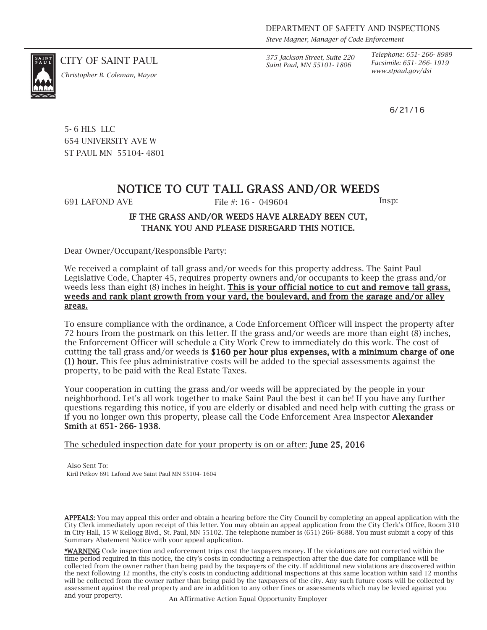*Steve Magner, Manager of Code Enforcement*

*Saint Paul, MN 55101- 1806*

*Telephone: 651- 266- 8989 Facsimile: 651- 266- 1919*

6/21/16

CITY OF SAINT PAUL *375 Jackson Street, Suite 220*

*www.stpaul.gov/dsi Christopher B. Coleman, Mayor*

5- 6 HLS LLC 654 UNIVERSITY AVE W ST PAUL MN 55104- 4801

## NOTICE TO CUT TALL GRASS AND/OR WEEDS

691 LAFOND AVE File #: 16 - 049604 Insp:

#### IF THE GRASS AND/OR WEEDS HAVE ALREADY BEEN CUT, THANK YOU AND PLEASE DISREGARD THIS NOTICE.

Dear Owner/Occupant/Responsible Party:

We received a complaint of tall grass and/or weeds for this property address. The Saint Paul Legislative Code, Chapter 45, requires property owners and/or occupants to keep the grass and/or weeds less than eight (8) inches in height. This is your official notice to cut and remove tall grass, weeds and rank plant growth from your yard, the boulevard, and from the garage and/or alley areas.

To ensure compliance with the ordinance, a Code Enforcement Officer will inspect the property after 72 hours from the postmark on this letter. If the grass and/or weeds are more than eight (8) inches, the Enforcement Officer will schedule a City Work Crew to immediately do this work. The cost of cutting the tall grass and/or weeds is \$160 per hour plus expenses, with a minimum charge of one (1) hour. This fee plus administrative costs will be added to the special assessments against the property, to be paid with the Real Estate Taxes.

Your cooperation in cutting the grass and/or weeds will be appreciated by the people in your neighborhood. Let's all work together to make Saint Paul the best it can be! If you have any further questions regarding this notice, if you are elderly or disabled and need help with cutting the grass or if you no longer own this property, please call the Code Enforcement Area Inspector Alexander Smith at 651- 266- 1938.

The scheduled inspection date for your property is on or after: **June 25, 2016** 

Also Sent To: Kiril Petkov 691 Lafond Ave Saint Paul MN 55104- 1604

APPEALS: You may appeal this order and obtain a hearing before the City Council by completing an appeal application with the City Clerk immediately upon receipt of this letter. You may obtain an appeal application from the City Clerk's Office, Room 310 in City Hall, 15 W Kellogg Blvd., St. Paul, MN 55102. The telephone number is (651) 266- 8688. You must submit a copy of this Summary Abatement Notice with your appeal application.

\*WARNING Code inspection and enforcement trips cost the taxpayers money. If the violations are not corrected within the time period required in this notice, the city's costs in conducting a reinspection after the due date for compliance will be collected from the owner rather than being paid by the taxpayers of the city. If additional new violations are discovered within the next following 12 months, the city's costs in conducting additional inspections at this same location within said 12 months will be collected from the owner rather than being paid by the taxpayers of the city. Any such future costs will be collected by assessment against the real property and are in addition to any other fines or assessments which may be levied against you and your property. An Affirmative Action Equal Opportunity Employer